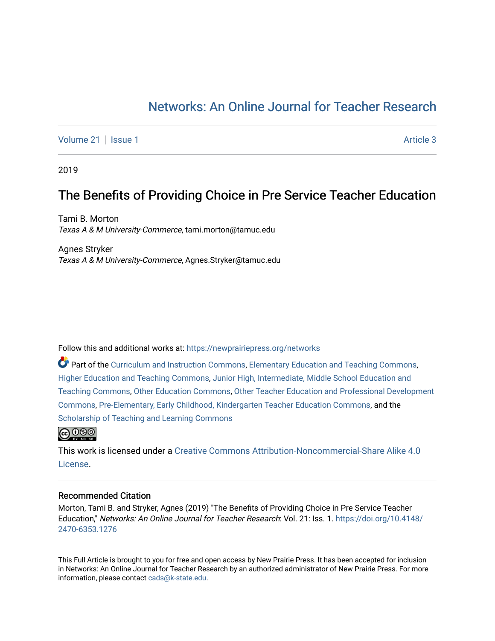# [Networks: An Online Journal for Teacher Research](https://newprairiepress.org/networks)

[Volume 21](https://newprairiepress.org/networks/vol21) | [Issue 1](https://newprairiepress.org/networks/vol21/iss1) Article 3

2019

## The Benefits of Providing Choice in Pre Service Teacher Education

Tami B. Morton Texas A & M University-Commerce, tami.morton@tamuc.edu

Agnes Stryker Texas A & M University-Commerce, Agnes.Stryker@tamuc.edu

Follow this and additional works at: [https://newprairiepress.org/networks](https://newprairiepress.org/networks?utm_source=newprairiepress.org%2Fnetworks%2Fvol21%2Fiss1%2F3&utm_medium=PDF&utm_campaign=PDFCoverPages)

Part of the [Curriculum and Instruction Commons,](http://network.bepress.com/hgg/discipline/786?utm_source=newprairiepress.org%2Fnetworks%2Fvol21%2Fiss1%2F3&utm_medium=PDF&utm_campaign=PDFCoverPages) [Elementary Education and Teaching Commons,](http://network.bepress.com/hgg/discipline/805?utm_source=newprairiepress.org%2Fnetworks%2Fvol21%2Fiss1%2F3&utm_medium=PDF&utm_campaign=PDFCoverPages) [Higher Education and Teaching Commons,](http://network.bepress.com/hgg/discipline/806?utm_source=newprairiepress.org%2Fnetworks%2Fvol21%2Fiss1%2F3&utm_medium=PDF&utm_campaign=PDFCoverPages) [Junior High, Intermediate, Middle School Education and](http://network.bepress.com/hgg/discipline/807?utm_source=newprairiepress.org%2Fnetworks%2Fvol21%2Fiss1%2F3&utm_medium=PDF&utm_campaign=PDFCoverPages)  [Teaching Commons](http://network.bepress.com/hgg/discipline/807?utm_source=newprairiepress.org%2Fnetworks%2Fvol21%2Fiss1%2F3&utm_medium=PDF&utm_campaign=PDFCoverPages), [Other Education Commons](http://network.bepress.com/hgg/discipline/811?utm_source=newprairiepress.org%2Fnetworks%2Fvol21%2Fiss1%2F3&utm_medium=PDF&utm_campaign=PDFCoverPages), [Other Teacher Education and Professional Development](http://network.bepress.com/hgg/discipline/810?utm_source=newprairiepress.org%2Fnetworks%2Fvol21%2Fiss1%2F3&utm_medium=PDF&utm_campaign=PDFCoverPages) [Commons](http://network.bepress.com/hgg/discipline/810?utm_source=newprairiepress.org%2Fnetworks%2Fvol21%2Fiss1%2F3&utm_medium=PDF&utm_campaign=PDFCoverPages), [Pre-Elementary, Early Childhood, Kindergarten Teacher Education Commons](http://network.bepress.com/hgg/discipline/808?utm_source=newprairiepress.org%2Fnetworks%2Fvol21%2Fiss1%2F3&utm_medium=PDF&utm_campaign=PDFCoverPages), and the [Scholarship of Teaching and Learning Commons](http://network.bepress.com/hgg/discipline/1328?utm_source=newprairiepress.org%2Fnetworks%2Fvol21%2Fiss1%2F3&utm_medium=PDF&utm_campaign=PDFCoverPages) 



This work is licensed under a [Creative Commons Attribution-Noncommercial-Share Alike 4.0](https://creativecommons.org/licenses/by-nc-sa/4.0/) [License.](https://creativecommons.org/licenses/by-nc-sa/4.0/)

#### Recommended Citation

Morton, Tami B. and Stryker, Agnes (2019) "The Benefits of Providing Choice in Pre Service Teacher Education," Networks: An Online Journal for Teacher Research: Vol. 21: Iss. 1. [https://doi.org/10.4148/](https://doi.org/10.4148/2470-6353.1276) [2470-6353.1276](https://doi.org/10.4148/2470-6353.1276) 

This Full Article is brought to you for free and open access by New Prairie Press. It has been accepted for inclusion in Networks: An Online Journal for Teacher Research by an authorized administrator of New Prairie Press. For more information, please contact [cads@k-state.edu](mailto:cads@k-state.edu).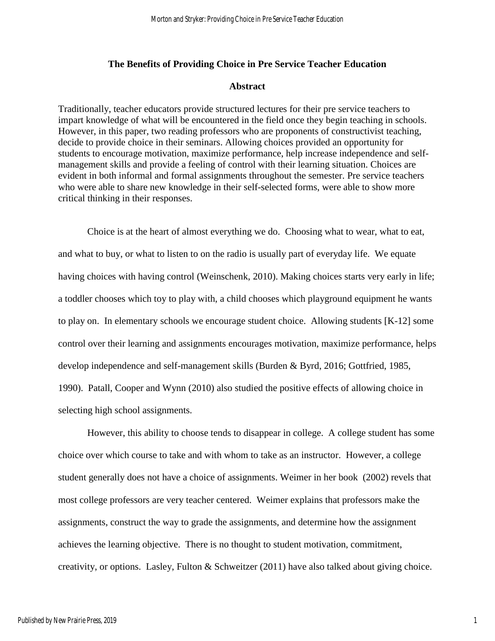## **The Benefits of Providing Choice in Pre Service Teacher Education**

#### **Abstract**

Traditionally, teacher educators provide structured lectures for their pre service teachers to impart knowledge of what will be encountered in the field once they begin teaching in schools. However, in this paper, two reading professors who are proponents of constructivist teaching, decide to provide choice in their seminars. Allowing choices provided an opportunity for students to encourage motivation, maximize performance, help increase independence and selfmanagement skills and provide a feeling of control with their learning situation. Choices are evident in both informal and formal assignments throughout the semester. Pre service teachers who were able to share new knowledge in their self-selected forms, were able to show more critical thinking in their responses.

Choice is at the heart of almost everything we do. Choosing what to wear, what to eat, and what to buy, or what to listen to on the radio is usually part of everyday life. We equate having choices with having control (Weinschenk, 2010). Making choices starts very early in life; a toddler chooses which toy to play with, a child chooses which playground equipment he wants to play on. In elementary schools we encourage student choice. Allowing students [K-12] some control over their learning and assignments encourages motivation, maximize performance, helps develop independence and self-management skills (Burden & Byrd, 2016; Gottfried, 1985, 1990). Patall, Cooper and Wynn (2010) also studied the positive effects of allowing choice in selecting high school assignments.

However, this ability to choose tends to disappear in college. A college student has some choice over which course to take and with whom to take as an instructor. However, a college student generally does not have a choice of assignments. Weimer in her book (2002) revels that most college professors are very teacher centered. Weimer explains that professors make the assignments, construct the way to grade the assignments, and determine how the assignment achieves the learning objective. There is no thought to student motivation, commitment, creativity, or options. Lasley, Fulton & Schweitzer (2011) have also talked about giving choice.

1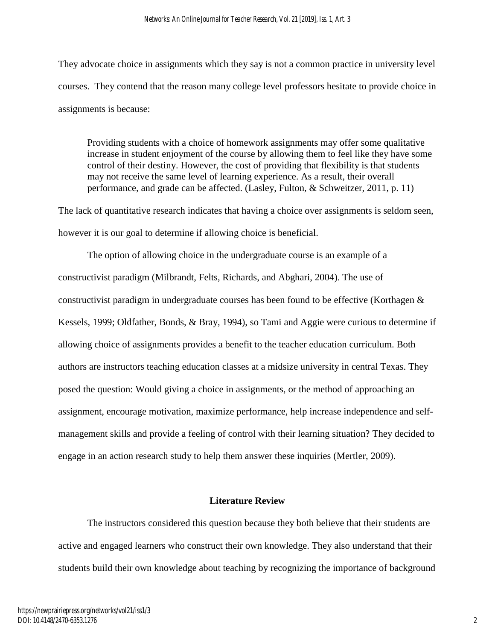They advocate choice in assignments which they say is not a common practice in university level courses. They contend that the reason many college level professors hesitate to provide choice in assignments is because:

Providing students with a choice of homework assignments may offer some qualitative increase in student enjoyment of the course by allowing them to feel like they have some control of their destiny. However, the cost of providing that flexibility is that students may not receive the same level of learning experience. As a result, their overall performance, and grade can be affected. (Lasley, Fulton, & Schweitzer, 2011, p. 11)

The lack of quantitative research indicates that having a choice over assignments is seldom seen, however it is our goal to determine if allowing choice is beneficial.

The option of allowing choice in the undergraduate course is an example of a constructivist paradigm (Milbrandt, Felts, Richards, and Abghari, 2004). The use of constructivist paradigm in undergraduate courses has been found to be effective (Korthagen & Kessels, 1999; Oldfather, Bonds, & Bray, 1994), so Tami and Aggie were curious to determine if allowing choice of assignments provides a benefit to the teacher education curriculum. Both authors are instructors teaching education classes at a midsize university in central Texas. They posed the question: Would giving a choice in assignments, or the method of approaching an assignment, encourage motivation, maximize performance, help increase independence and selfmanagement skills and provide a feeling of control with their learning situation? They decided to engage in an action research study to help them answer these inquiries (Mertler, 2009).

## **Literature Review**

The instructors considered this question because they both believe that their students are active and engaged learners who construct their own knowledge. They also understand that their students build their own knowledge about teaching by recognizing the importance of background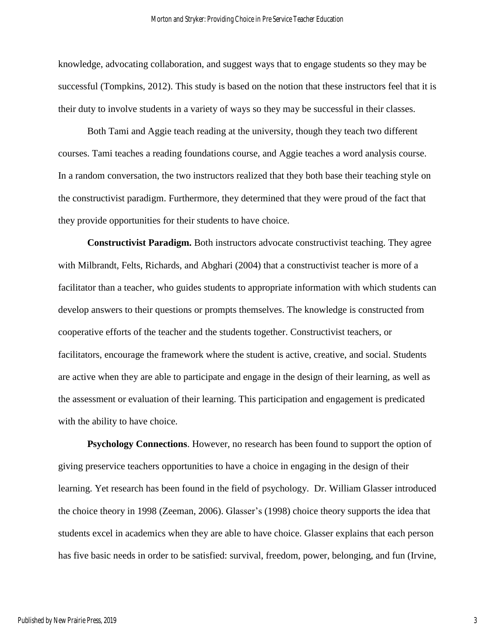knowledge, advocating collaboration, and suggest ways that to engage students so they may be successful (Tompkins, 2012). This study is based on the notion that these instructors feel that it is their duty to involve students in a variety of ways so they may be successful in their classes.

Both Tami and Aggie teach reading at the university, though they teach two different courses. Tami teaches a reading foundations course, and Aggie teaches a word analysis course. In a random conversation, the two instructors realized that they both base their teaching style on the constructivist paradigm. Furthermore, they determined that they were proud of the fact that they provide opportunities for their students to have choice.

**Constructivist Paradigm.** Both instructors advocate constructivist teaching. They agree with Milbrandt, Felts, Richards, and Abghari (2004) that a constructivist teacher is more of a facilitator than a teacher, who guides students to appropriate information with which students can develop answers to their questions or prompts themselves. The knowledge is constructed from cooperative efforts of the teacher and the students together. Constructivist teachers, or facilitators, encourage the framework where the student is active, creative, and social. Students are active when they are able to participate and engage in the design of their learning, as well as the assessment or evaluation of their learning. This participation and engagement is predicated with the ability to have choice.

**Psychology Connections**. However, no research has been found to support the option of giving preservice teachers opportunities to have a choice in engaging in the design of their learning. Yet research has been found in the field of psychology. Dr. William Glasser introduced the choice theory in 1998 (Zeeman, 2006). Glasser's (1998) choice theory supports the idea that students excel in academics when they are able to have choice. Glasser explains that each person has five basic needs in order to be satisfied: survival, freedom, power, belonging, and fun (Irvine,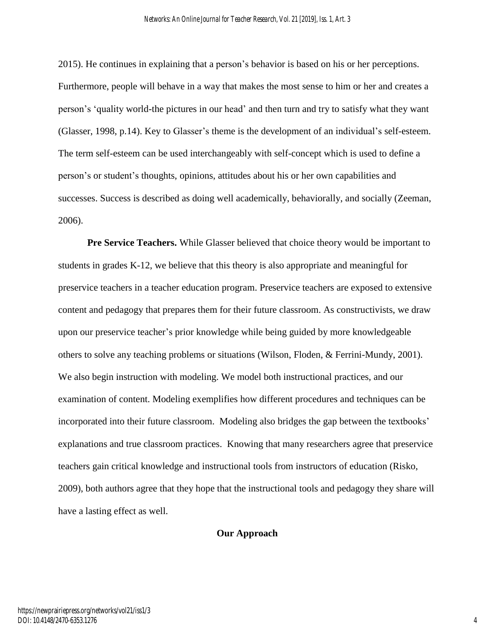2015). He continues in explaining that a person's behavior is based on his or her perceptions. Furthermore, people will behave in a way that makes the most sense to him or her and creates a person's 'quality world-the pictures in our head' and then turn and try to satisfy what they want (Glasser, 1998, p.14). Key to Glasser's theme is the development of an individual's self-esteem. The term self-esteem can be used interchangeably with self-concept which is used to define a person's or student's thoughts, opinions, attitudes about his or her own capabilities and successes. Success is described as doing well academically, behaviorally, and socially (Zeeman, 2006).

**Pre Service Teachers.** While Glasser believed that choice theory would be important to students in grades K-12, we believe that this theory is also appropriate and meaningful for preservice teachers in a teacher education program. Preservice teachers are exposed to extensive content and pedagogy that prepares them for their future classroom. As constructivists, we draw upon our preservice teacher's prior knowledge while being guided by more knowledgeable others to solve any teaching problems or situations (Wilson, Floden, & Ferrini-Mundy, 2001). We also begin instruction with modeling. We model both instructional practices, and our examination of content. Modeling exemplifies how different procedures and techniques can be incorporated into their future classroom. Modeling also bridges the gap between the textbooks' explanations and true classroom practices. Knowing that many researchers agree that preservice teachers gain critical knowledge and instructional tools from instructors of education (Risko, 2009), both authors agree that they hope that the instructional tools and pedagogy they share will have a lasting effect as well.

## **Our Approach**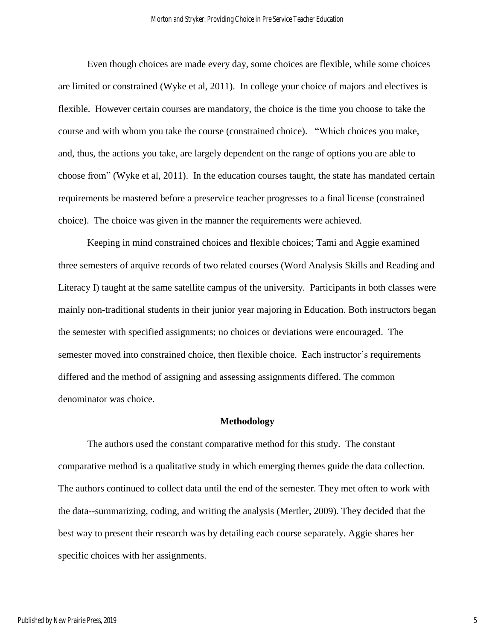Even though choices are made every day, some choices are flexible, while some choices are limited or constrained (Wyke et al, 2011). In college your choice of majors and electives is flexible. However certain courses are mandatory, the choice is the time you choose to take the course and with whom you take the course (constrained choice). "Which choices you make, and, thus, the actions you take, are largely dependent on the range of options you are able to choose from" (Wyke et al, 2011). In the education courses taught, the state has mandated certain requirements be mastered before a preservice teacher progresses to a final license (constrained choice). The choice was given in the manner the requirements were achieved.

Keeping in mind constrained choices and flexible choices; Tami and Aggie examined three semesters of arquive records of two related courses (Word Analysis Skills and Reading and Literacy I) taught at the same satellite campus of the university. Participants in both classes were mainly non-traditional students in their junior year majoring in Education. Both instructors began the semester with specified assignments; no choices or deviations were encouraged. The semester moved into constrained choice, then flexible choice. Each instructor's requirements differed and the method of assigning and assessing assignments differed. The common denominator was choice.

#### **Methodology**

The authors used the constant comparative method for this study. The constant comparative method is a qualitative study in which emerging themes guide the data collection. The authors continued to collect data until the end of the semester. They met often to work with the data--summarizing, coding, and writing the analysis (Mertler, 2009). They decided that the best way to present their research was by detailing each course separately. Aggie shares her specific choices with her assignments.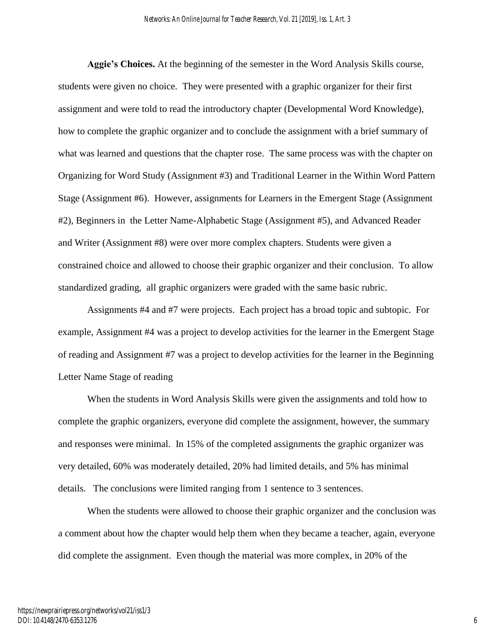**Aggie's Choices.** At the beginning of the semester in the Word Analysis Skills course, students were given no choice. They were presented with a graphic organizer for their first assignment and were told to read the introductory chapter (Developmental Word Knowledge), how to complete the graphic organizer and to conclude the assignment with a brief summary of what was learned and questions that the chapter rose. The same process was with the chapter on Organizing for Word Study (Assignment #3) and Traditional Learner in the Within Word Pattern Stage (Assignment #6). However, assignments for Learners in the Emergent Stage (Assignment #2), Beginners in the Letter Name-Alphabetic Stage (Assignment #5), and Advanced Reader and Writer (Assignment #8) were over more complex chapters. Students were given a constrained choice and allowed to choose their graphic organizer and their conclusion. To allow standardized grading, all graphic organizers were graded with the same basic rubric.

Assignments #4 and #7 were projects. Each project has a broad topic and subtopic. For example, Assignment #4 was a project to develop activities for the learner in the Emergent Stage of reading and Assignment #7 was a project to develop activities for the learner in the Beginning Letter Name Stage of reading

When the students in Word Analysis Skills were given the assignments and told how to complete the graphic organizers, everyone did complete the assignment, however, the summary and responses were minimal. In 15% of the completed assignments the graphic organizer was very detailed, 60% was moderately detailed, 20% had limited details, and 5% has minimal details. The conclusions were limited ranging from 1 sentence to 3 sentences.

When the students were allowed to choose their graphic organizer and the conclusion was a comment about how the chapter would help them when they became a teacher, again, everyone did complete the assignment. Even though the material was more complex, in 20% of the

6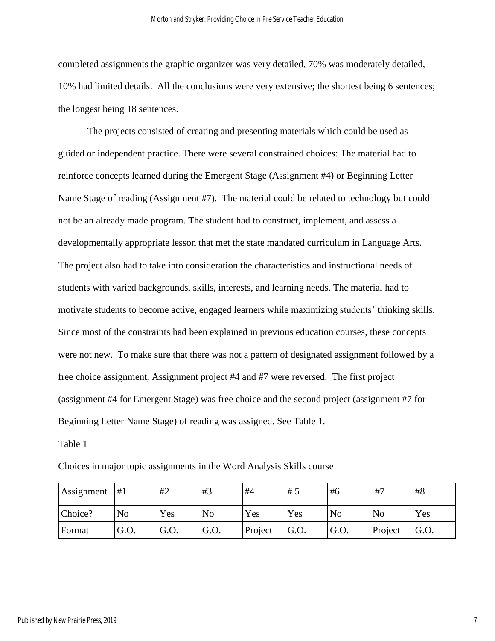completed assignments the graphic organizer was very detailed, 70% was moderately detailed, 10% had limited details. All the conclusions were very extensive; the shortest being 6 sentences; the longest being 18 sentences.

The projects consisted of creating and presenting materials which could be used as guided or independent practice. There were several constrained choices: The material had to reinforce concepts learned during the Emergent Stage (Assignment #4) or Beginning Letter Name Stage of reading (Assignment #7). The material could be related to technology but could not be an already made program. The student had to construct, implement, and assess a developmentally appropriate lesson that met the state mandated curriculum in Language Arts. The project also had to take into consideration the characteristics and instructional needs of students with varied backgrounds, skills, interests, and learning needs. The material had to motivate students to become active, engaged learners while maximizing students' thinking skills. Since most of the constraints had been explained in previous education courses, these concepts were not new. To make sure that there was not a pattern of designated assignment followed by a free choice assignment, Assignment project #4 and #7 were reversed. The first project (assignment #4 for Emergent Stage) was free choice and the second project (assignment #7 for Beginning Letter Name Stage) of reading was assigned. See Table 1.

### Table 1

| Choices in major topic assignments in the Word Analysis Skills course |  |  |  |  |  |
|-----------------------------------------------------------------------|--|--|--|--|--|
|                                                                       |  |  |  |  |  |

| Assignment    | #1             | #2   | #3   | #4      | #5   | #6   | #7      | #8    |
|---------------|----------------|------|------|---------|------|------|---------|-------|
| Choice?       | N <sub>0</sub> | Yes  | No   | Yes     | Yes  | No   | No      | Yes   |
| <b>Format</b> | G.O.           | G.O. | G.O. | Project | G.O. | G.O. | Project | IG.O. |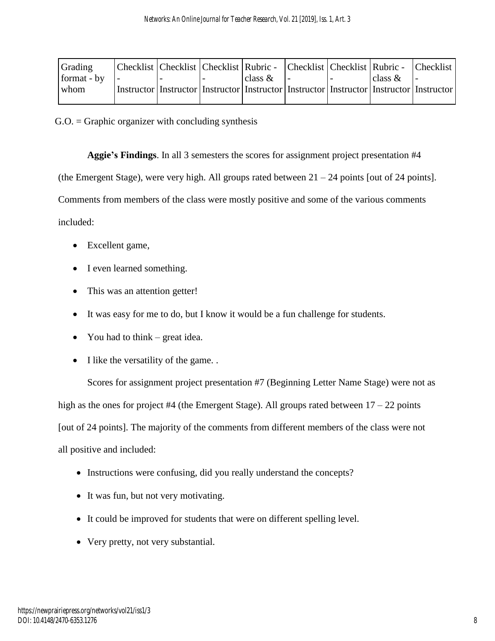| Grading     |  | Checklist   Checklist   Checklist   Rubric -   Checklist   Checklist   Rubric -   Checklist           |            |  |            |  |
|-------------|--|-------------------------------------------------------------------------------------------------------|------------|--|------------|--|
| format - by |  |                                                                                                       | class $\&$ |  | class $\&$ |  |
| l whom.     |  | Instructor   Instructor   Instructor   Instructor   Instructor   Instructor   Instructor   Instructor |            |  |            |  |
|             |  |                                                                                                       |            |  |            |  |

 $G.O. = Graphic$  organizer with concluding synthesis

**Aggie's Findings**. In all 3 semesters the scores for assignment project presentation #4

(the Emergent Stage), were very high. All groups rated between  $21 - 24$  points [out of 24 points].

Comments from members of the class were mostly positive and some of the various comments

included:

- Excellent game,
- I even learned something.
- This was an attention getter!
- It was easy for me to do, but I know it would be a fun challenge for students.
- You had to think great idea.
- I like the versatility of the game. .

Scores for assignment project presentation #7 (Beginning Letter Name Stage) were not as high as the ones for project #4 (the Emergent Stage). All groups rated between  $17 - 22$  points [out of 24 points]. The majority of the comments from different members of the class were not all positive and included:

- Instructions were confusing, did you really understand the concepts?
- It was fun, but not very motivating.
- It could be improved for students that were on different spelling level.
- Very pretty, not very substantial.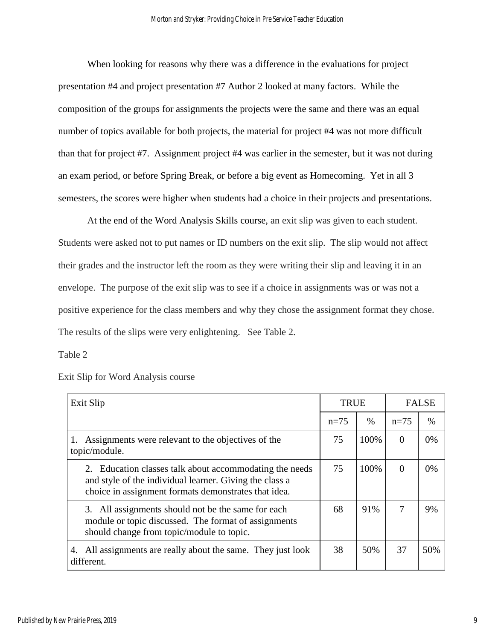When looking for reasons why there was a difference in the evaluations for project presentation #4 and project presentation #7 Author 2 looked at many factors. While the composition of the groups for assignments the projects were the same and there was an equal number of topics available for both projects, the material for project #4 was not more difficult than that for project #7. Assignment project #4 was earlier in the semester, but it was not during an exam period, or before Spring Break, or before a big event as Homecoming. Yet in all 3 semesters, the scores were higher when students had a choice in their projects and presentations.

At the end of the Word Analysis Skills course, an exit slip was given to each student. Students were asked not to put names or ID numbers on the exit slip. The slip would not affect their grades and the instructor left the room as they were writing their slip and leaving it in an envelope. The purpose of the exit slip was to see if a choice in assignments was or was not a positive experience for the class members and why they chose the assignment format they chose. The results of the slips were very enlightening. See Table 2.

Table 2

| Exit Slip                                                                                                                                                                  |        | <b>TRUE</b> |                | <b>FALSE</b> |  |
|----------------------------------------------------------------------------------------------------------------------------------------------------------------------------|--------|-------------|----------------|--------------|--|
|                                                                                                                                                                            | $n=75$ | $\%$        | $n=75$         | $\%$         |  |
| 1. Assignments were relevant to the objectives of the<br>topic/module.                                                                                                     | 75     | 100%        | $\Omega$       | $0\%$        |  |
| 2. Education classes talk about accommodating the needs<br>and style of the individual learner. Giving the class a<br>choice in assignment formats demonstrates that idea. | 75     | 100%        | $\overline{0}$ | 0%           |  |
| 3. All assignments should not be the same for each<br>module or topic discussed. The format of assignments<br>should change from topic/module to topic.                    | 68     | 91%         | 7              | 9%           |  |
| All assignments are really about the same. They just look<br>4.<br>different.                                                                                              | 38     | 50%         | 37             | 50%          |  |

Exit Slip for Word Analysis course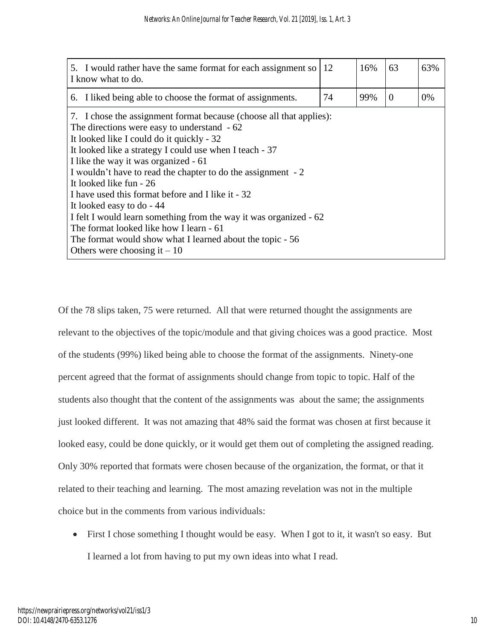| 5. I would rather have the same format for each assignment so<br>I know what to do.                                                                                                                                                                                                                                                                                                                                                                                                                                                                                                                                                                           | 12 | 16% | 63       | 63% |
|---------------------------------------------------------------------------------------------------------------------------------------------------------------------------------------------------------------------------------------------------------------------------------------------------------------------------------------------------------------------------------------------------------------------------------------------------------------------------------------------------------------------------------------------------------------------------------------------------------------------------------------------------------------|----|-----|----------|-----|
| 6. I liked being able to choose the format of assignments.                                                                                                                                                                                                                                                                                                                                                                                                                                                                                                                                                                                                    | 74 | 99% | $\Omega$ | 0%  |
| 7. I chose the assignment format because (choose all that applies):<br>The directions were easy to understand - 62<br>It looked like I could do it quickly - 32<br>It looked like a strategy I could use when I teach - 37<br>I like the way it was organized - 61<br>I wouldn't have to read the chapter to do the assignment - 2<br>It looked like fun - 26<br>I have used this format before and I like it - 32<br>It looked easy to do - 44<br>I felt I would learn something from the way it was organized - 62<br>The format looked like how I learn - 61<br>The format would show what I learned about the topic - 56<br>Others were choosing it $-10$ |    |     |          |     |

Of the 78 slips taken, 75 were returned. All that were returned thought the assignments are relevant to the objectives of the topic/module and that giving choices was a good practice. Most of the students (99%) liked being able to choose the format of the assignments. Ninety-one percent agreed that the format of assignments should change from topic to topic. Half of the students also thought that the content of the assignments was about the same; the assignments just looked different. It was not amazing that 48% said the format was chosen at first because it looked easy, could be done quickly, or it would get them out of completing the assigned reading. Only 30% reported that formats were chosen because of the organization, the format, or that it related to their teaching and learning. The most amazing revelation was not in the multiple choice but in the comments from various individuals:

• First I chose something I thought would be easy. When I got to it, it wasn't so easy. But I learned a lot from having to put my own ideas into what I read.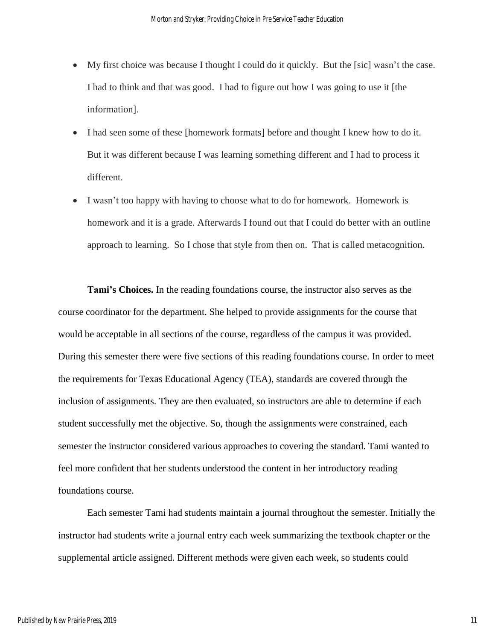- My first choice was because I thought I could do it quickly. But the [sic] wasn't the case. I had to think and that was good. I had to figure out how I was going to use it [the information].
- I had seen some of these [homework formats] before and thought I knew how to do it. But it was different because I was learning something different and I had to process it different.
- I wasn't too happy with having to choose what to do for homework. Homework is homework and it is a grade. Afterwards I found out that I could do better with an outline approach to learning. So I chose that style from then on. That is called metacognition.

**Tami's Choices.** In the reading foundations course, the instructor also serves as the course coordinator for the department. She helped to provide assignments for the course that would be acceptable in all sections of the course, regardless of the campus it was provided. During this semester there were five sections of this reading foundations course. In order to meet the requirements for Texas Educational Agency (TEA), standards are covered through the inclusion of assignments. They are then evaluated, so instructors are able to determine if each student successfully met the objective. So, though the assignments were constrained, each semester the instructor considered various approaches to covering the standard. Tami wanted to feel more confident that her students understood the content in her introductory reading foundations course.

Each semester Tami had students maintain a journal throughout the semester. Initially the instructor had students write a journal entry each week summarizing the textbook chapter or the supplemental article assigned. Different methods were given each week, so students could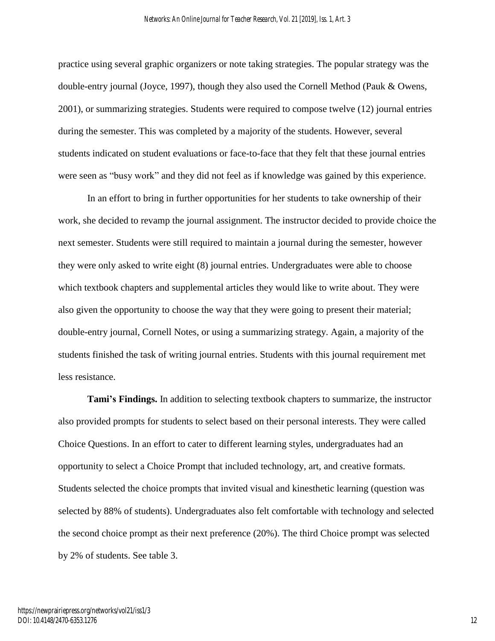practice using several graphic organizers or note taking strategies. The popular strategy was the double-entry journal (Joyce, 1997), though they also used the Cornell Method (Pauk & Owens, 2001), or summarizing strategies. Students were required to compose twelve (12) journal entries during the semester. This was completed by a majority of the students. However, several students indicated on student evaluations or face-to-face that they felt that these journal entries were seen as "busy work" and they did not feel as if knowledge was gained by this experience.

In an effort to bring in further opportunities for her students to take ownership of their work, she decided to revamp the journal assignment. The instructor decided to provide choice the next semester. Students were still required to maintain a journal during the semester, however they were only asked to write eight (8) journal entries. Undergraduates were able to choose which textbook chapters and supplemental articles they would like to write about. They were also given the opportunity to choose the way that they were going to present their material; double-entry journal, Cornell Notes, or using a summarizing strategy. Again, a majority of the students finished the task of writing journal entries. Students with this journal requirement met less resistance.

**Tami's Findings.** In addition to selecting textbook chapters to summarize, the instructor also provided prompts for students to select based on their personal interests. They were called Choice Questions. In an effort to cater to different learning styles, undergraduates had an opportunity to select a Choice Prompt that included technology, art, and creative formats. Students selected the choice prompts that invited visual and kinesthetic learning (question was selected by 88% of students). Undergraduates also felt comfortable with technology and selected the second choice prompt as their next preference (20%). The third Choice prompt was selected by 2% of students. See table 3.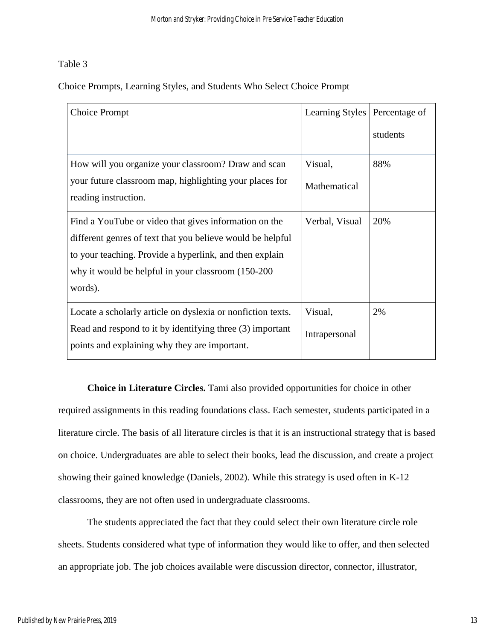## Table 3

Choice Prompts, Learning Styles, and Students Who Select Choice Prompt

| <b>Choice Prompt</b>                                                            | <b>Learning Styles</b> | Percentage of |
|---------------------------------------------------------------------------------|------------------------|---------------|
|                                                                                 |                        | students      |
| How will you organize your classroom? Draw and scan                             | Visual,                | 88%           |
| your future classroom map, highlighting your places for<br>reading instruction. | Mathematical           |               |
| Find a YouTube or video that gives information on the                           | Verbal, Visual         | 20%           |
| different genres of text that you believe would be helpful                      |                        |               |
| to your teaching. Provide a hyperlink, and then explain                         |                        |               |
| why it would be helpful in your classroom (150-200)                             |                        |               |
| words).                                                                         |                        |               |
| Locate a scholarly article on dyslexia or nonfiction texts.                     | Visual,                | 2%            |
| Read and respond to it by identifying three (3) important                       | Intrapersonal          |               |
| points and explaining why they are important.                                   |                        |               |

**Choice in Literature Circles.** Tami also provided opportunities for choice in other required assignments in this reading foundations class. Each semester, students participated in a literature circle. The basis of all literature circles is that it is an instructional strategy that is based on choice. Undergraduates are able to select their books, lead the discussion, and create a project showing their gained knowledge (Daniels, 2002). While this strategy is used often in K-12 classrooms, they are not often used in undergraduate classrooms.

The students appreciated the fact that they could select their own literature circle role sheets. Students considered what type of information they would like to offer, and then selected an appropriate job. The job choices available were discussion director, connector, illustrator,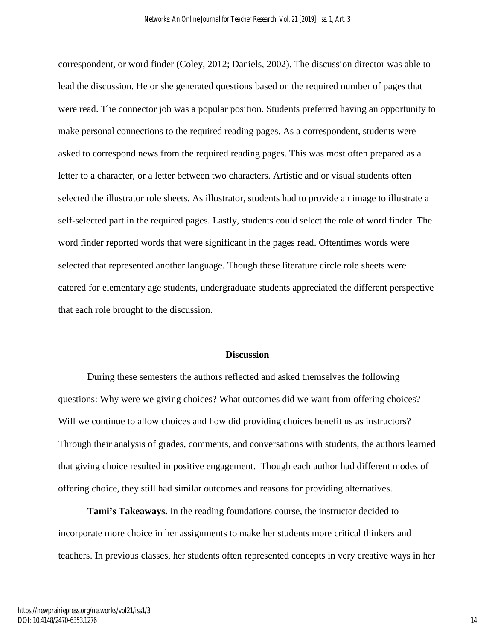correspondent, or word finder (Coley, 2012; Daniels, 2002). The discussion director was able to lead the discussion. He or she generated questions based on the required number of pages that were read. The connector job was a popular position. Students preferred having an opportunity to make personal connections to the required reading pages. As a correspondent, students were asked to correspond news from the required reading pages. This was most often prepared as a letter to a character, or a letter between two characters. Artistic and or visual students often selected the illustrator role sheets. As illustrator, students had to provide an image to illustrate a self-selected part in the required pages. Lastly, students could select the role of word finder. The word finder reported words that were significant in the pages read. Oftentimes words were selected that represented another language. Though these literature circle role sheets were catered for elementary age students, undergraduate students appreciated the different perspective that each role brought to the discussion.

#### **Discussion**

During these semesters the authors reflected and asked themselves the following questions: Why were we giving choices? What outcomes did we want from offering choices? Will we continue to allow choices and how did providing choices benefit us as instructors? Through their analysis of grades, comments, and conversations with students, the authors learned that giving choice resulted in positive engagement. Though each author had different modes of offering choice, they still had similar outcomes and reasons for providing alternatives.

**Tami's Takeaways.** In the reading foundations course, the instructor decided to incorporate more choice in her assignments to make her students more critical thinkers and teachers. In previous classes, her students often represented concepts in very creative ways in her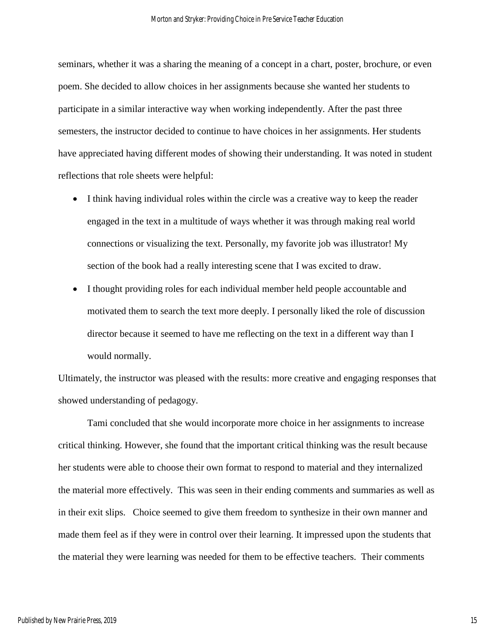seminars, whether it was a sharing the meaning of a concept in a chart, poster, brochure, or even poem. She decided to allow choices in her assignments because she wanted her students to participate in a similar interactive way when working independently. After the past three semesters, the instructor decided to continue to have choices in her assignments. Her students have appreciated having different modes of showing their understanding. It was noted in student reflections that role sheets were helpful:

- I think having individual roles within the circle was a creative way to keep the reader engaged in the text in a multitude of ways whether it was through making real world connections or visualizing the text. Personally, my favorite job was illustrator! My section of the book had a really interesting scene that I was excited to draw.
- I thought providing roles for each individual member held people accountable and motivated them to search the text more deeply. I personally liked the role of discussion director because it seemed to have me reflecting on the text in a different way than I would normally.

Ultimately, the instructor was pleased with the results: more creative and engaging responses that showed understanding of pedagogy.

Tami concluded that she would incorporate more choice in her assignments to increase critical thinking. However, she found that the important critical thinking was the result because her students were able to choose their own format to respond to material and they internalized the material more effectively. This was seen in their ending comments and summaries as well as in their exit slips. Choice seemed to give them freedom to synthesize in their own manner and made them feel as if they were in control over their learning. It impressed upon the students that the material they were learning was needed for them to be effective teachers. Their comments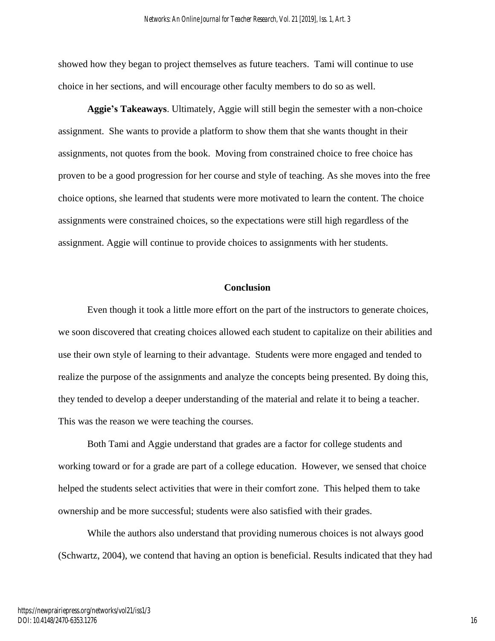showed how they began to project themselves as future teachers. Tami will continue to use choice in her sections, and will encourage other faculty members to do so as well.

**Aggie's Takeaways**. Ultimately, Aggie will still begin the semester with a non-choice assignment. She wants to provide a platform to show them that she wants thought in their assignments, not quotes from the book. Moving from constrained choice to free choice has proven to be a good progression for her course and style of teaching. As she moves into the free choice options, she learned that students were more motivated to learn the content. The choice assignments were constrained choices, so the expectations were still high regardless of the assignment. Aggie will continue to provide choices to assignments with her students.

#### **Conclusion**

Even though it took a little more effort on the part of the instructors to generate choices, we soon discovered that creating choices allowed each student to capitalize on their abilities and use their own style of learning to their advantage. Students were more engaged and tended to realize the purpose of the assignments and analyze the concepts being presented. By doing this, they tended to develop a deeper understanding of the material and relate it to being a teacher. This was the reason we were teaching the courses.

Both Tami and Aggie understand that grades are a factor for college students and working toward or for a grade are part of a college education. However, we sensed that choice helped the students select activities that were in their comfort zone. This helped them to take ownership and be more successful; students were also satisfied with their grades.

While the authors also understand that providing numerous choices is not always good (Schwartz, 2004), we contend that having an option is beneficial. Results indicated that they had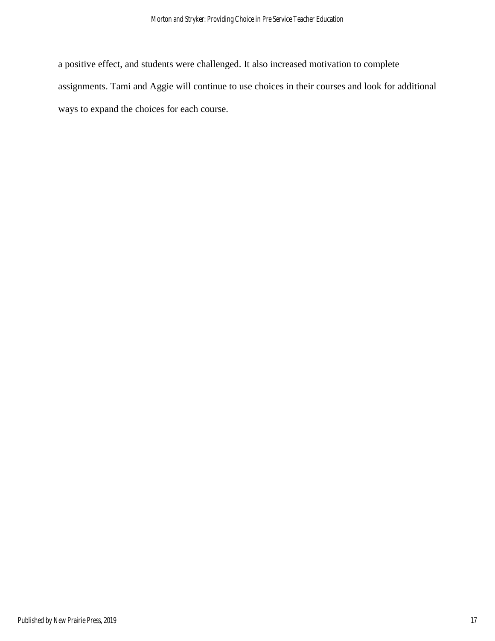a positive effect, and students were challenged. It also increased motivation to complete assignments. Tami and Aggie will continue to use choices in their courses and look for additional ways to expand the choices for each course.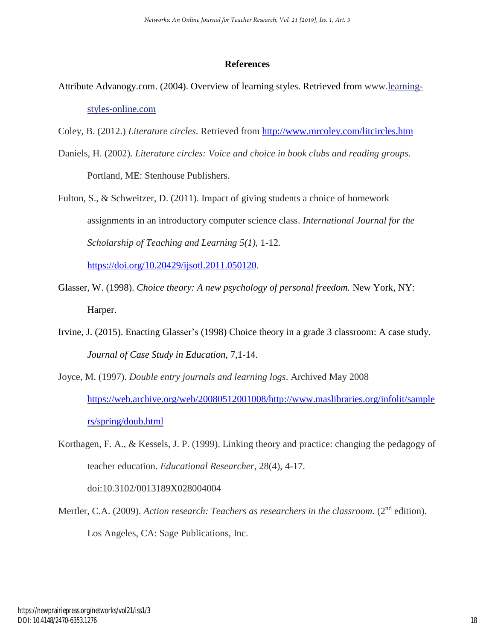#### **References**

Attribute Advanogy.com. (2004). Overview of learning styles. Retrieved from www[.learning](http://www.learning-styles-online.com/)[styles-online.com](http://www.learning-styles-online.com/)

Coley, B. (2012.) *Literature circles*. Retrieved from <http://www.mrcoley.com/litcircles.htm>

- Daniels, H. (2002). *Literature circles: Voice and choice in book clubs and reading groups.* Portland, ME: Stenhouse Publishers.
- Fulton, S., & Schweitzer, D. (2011). Impact of giving students a choice of homework assignments in an introductory computer science class. *International Journal for the Scholarship of Teaching and Learning 5(1)*, 1-12*.*

[https://doi.org/10.20429/ijsotl.2011.050120.](https://doi.org/10.20429/ijsotl.2011.050120)

- Glasser, W. (1998). *Choice theory: A new psychology of personal freedom.* New York, NY: Harper.
- Irvine, J. (2015). Enacting Glasser's (1998) Choice theory in a grade 3 classroom: A case study. *Journal of Case Study in Education*, 7,1-14.
- Joyce, M. (1997). *Double entry journals and learning logs*. Archived May 2008 [https://web.archive.org/web/20080512001008/http://www.maslibraries.org/infolit/sample](https://web.archive.org/web/20080512001008/http:/www.maslibraries.org/infolit/samplers/spring/doub.html) [rs/spring/doub.html](https://web.archive.org/web/20080512001008/http:/www.maslibraries.org/infolit/samplers/spring/doub.html)
- Korthagen, F. A., & Kessels, J. P. (1999). Linking theory and practice: changing the pedagogy of teacher education. *Educational Researcher*, 28(4), 4-17.

doi:10.3102/0013189X028004004

Mertler, C.A. (2009). *Action research: Teachers as researchers in the classroom.* (2nd edition). Los Angeles, CA: Sage Publications, Inc.